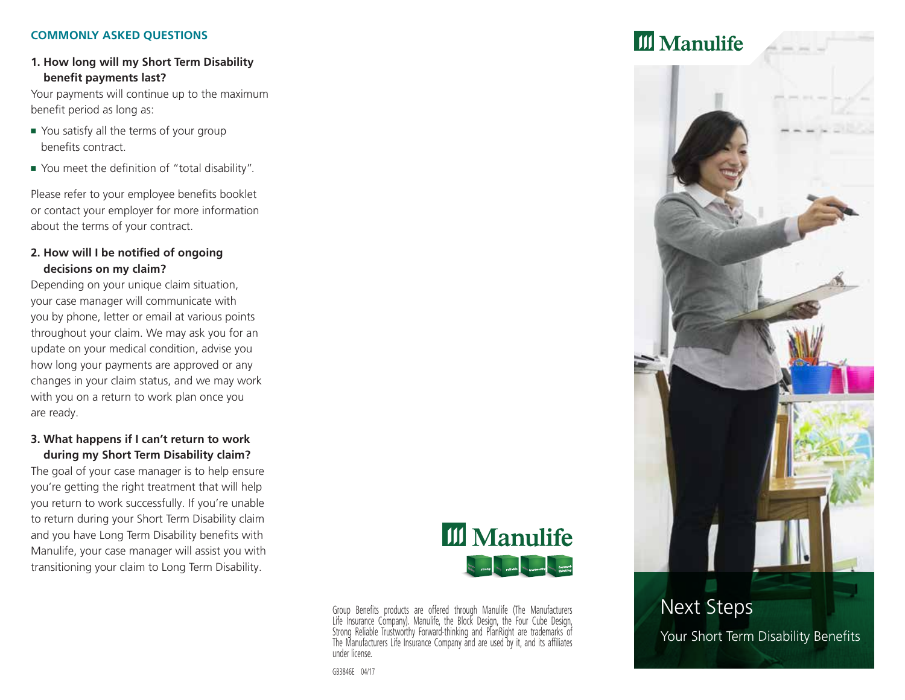#### **COMMONLY ASKED QUESTIONS**

# **1. How long will my Short Term Disability benefit payments last?**

Your payments will continue up to the maximum benefit period as long as:

- You satisfy all the terms of your group benefits contract.
- You meet the definition of "total disability".

Please refer to your employee benefits booklet or contact your employer for more information about the terms of your contract.

#### **2. How will I be notified of ongoing decisions on my claim?**

Depending on your unique claim situation, your case manager will communicate with you by phone, letter or email at various points throughout your claim. We may ask you for an update on your medical condition, advise you how long your payments are approved or any changes in your claim status, and we may work with you on a return to work plan once you are ready.

### **3. What happens if I can't return to work during my Short Term Disability claim?**

The goal of your case manager is to help ensure you're getting the right treatment that will help you return to work successfully. If you're unable to return during your Short Term Disability claim and you have Long Term Disability benefits with Manulife, your case manager will assist you with transitioning your claim to Long Term Disability.



Group Benefits products are offered through Manulife (The Manufacturers Life Insurance Company). Manulife, the Block Design, the Four Cube Design, Strong Reliable Trustworthy Forward‑thinking and PlanRight are trademarks of The Manufacturers Life Insurance Company and are used by it, and its affiliates under license.